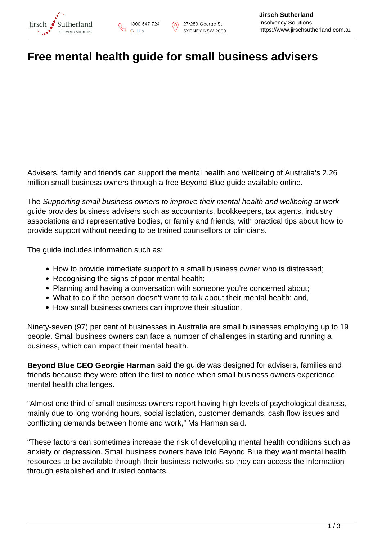

## **Free mental health guide for small business advisers**

Advisers, family and friends can support the mental health and wellbeing of Australia's 2.26 million small business owners through a free Beyond Blue guide available online.

The Supporting small business owners to improve their mental health and wellbeing at work guide provides business advisers such as accountants, bookkeepers, tax agents, industry associations and representative bodies, or family and friends, with practical tips about how to provide support without needing to be trained counsellors or clinicians.

The guide includes information such as:

- How to provide immediate support to a small business owner who is distressed;
- Recognising the signs of poor mental health;
- Planning and having a conversation with someone you're concerned about;
- What to do if the person doesn't want to talk about their mental health; and,
- How small business owners can improve their situation.

Ninety-seven (97) per cent of businesses in Australia are small businesses employing up to 19 people. Small business owners can face a number of challenges in starting and running a business, which can impact their mental health.

**Beyond Blue CEO Georgie Harman** said the guide was designed for advisers, families and friends because they were often the first to notice when small business owners experience mental health challenges.

"Almost one third of small business owners report having high levels of psychological distress, mainly due to long working hours, social isolation, customer demands, cash flow issues and conflicting demands between home and work," Ms Harman said.

"These factors can sometimes increase the risk of developing mental health conditions such as anxiety or depression. Small business owners have told Beyond Blue they want mental health resources to be available through their business networks so they can access the information through established and trusted contacts.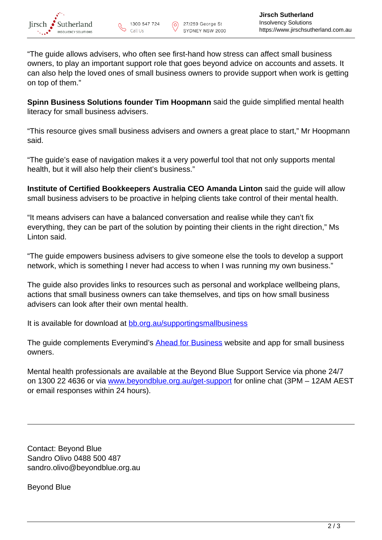

"The guide allows advisers, who often see first-hand how stress can affect small business owners, to play an important support role that goes beyond advice on accounts and assets. It can also help the loved ones of small business owners to provide support when work is getting on top of them."

**Spinn Business Solutions founder Tim Hoopmann** said the guide simplified mental health literacy for small business advisers.

"This resource gives small business advisers and owners a great place to start," Mr Hoopmann said.

"The guide's ease of navigation makes it a very powerful tool that not only supports mental health, but it will also help their client's business."

**Institute of Certified Bookkeepers Australia CEO Amanda Linton** said the guide will allow small business advisers to be proactive in helping clients take control of their mental health.

"It means advisers can have a balanced conversation and realise while they can't fix everything, they can be part of the solution by pointing their clients in the right direction," Ms Linton said.

"The guide empowers business advisers to give someone else the tools to develop a support network, which is something I never had access to when I was running my own business."

The guide also provides links to resources such as personal and workplace wellbeing plans, actions that small business owners can take themselves, and tips on how small business advisers can look after their own mental health.

It is available for download at [bb.org.au/supportingsmallbusiness](https://www.headsup.org.au/healthy-workplaces/for-small-businesses/supporting-small-businesses/?utm_source=industry&utm_medium=print&utm_campaign=supportingsmallbusiness_sep19&utm_demo=all&utm_targeting=null&utm_format=poster&utm_creative=null&utm_objective=reach&utm_id=supportingsmallbusiness0004)

The guide complements Everymind's **Ahead for Business** website and app for small business owners.

Mental health professionals are available at the Beyond Blue Support Service via phone 24/7 on 1300 22 4636 or via [www.beyondblue.org.au/get-support](http://www.beyondblue.org.au/get-support) for online chat (3PM – 12AM AEST or email responses within 24 hours).

Contact: Beyond Blue Sandro Olivo 0488 500 487 sandro.olivo@beyondblue.org.au

Beyond Blue